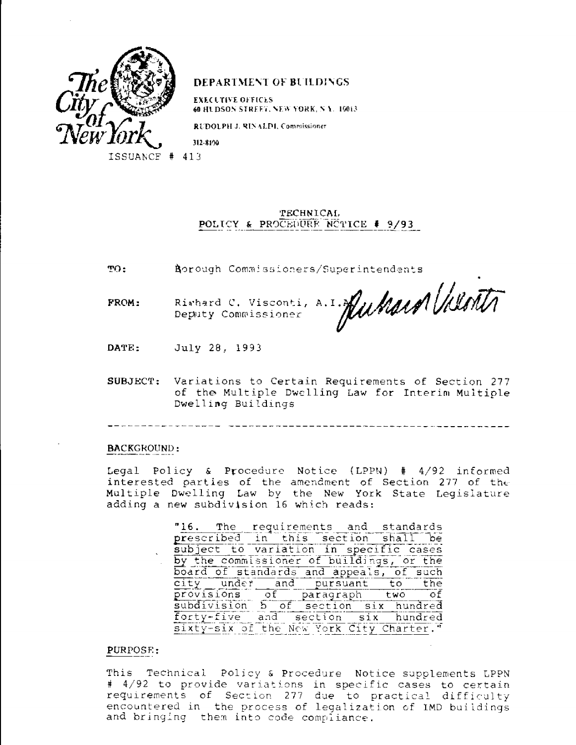

## DEPARTMENT OF BUILDINGS

EXECUTIVE OFFICES 60 HUSDON STREET, NEW YORK, N.Y. 10013

RUDOLPH J. RINALDI, Commissioner

312-8100 ISSUANCF # 413

## TECHNICAL POLICY & PROCEDURE NOTICE # 9/93

TO: Rorough Commissioners/Superintendents

FROM: Richard C. Visconti, A.I.A

Rishard C. Visconti, A.I. **MUNDIP NUMN** 

- DATE: July 28, 1993
- SUBJECT: Variations to Certain Requirements of Section 277 of the Multiple Dwelling Law for Interim Multiple Dwelling Buildings

# BACKGROUND:

Legal Policy & Procedure Notice (LPPN) # 4/92 informed interested parties of the amendment of Section 277 of the Multiple Dwelling Law by the New York State Legislature adding a new subdivision 16 which reads:

|  | "16. The requirements and standards      |  |  |
|--|------------------------------------------|--|--|
|  | prescribed in this section shall be      |  |  |
|  | subject to variation in specific cases   |  |  |
|  | by the commissioner of buildings, or the |  |  |
|  | board of standards and appeals, of such  |  |  |
|  | city under and pursuant to the           |  |  |
|  | provisions of paragraph two of           |  |  |
|  | subdivision 5 of section six hundred     |  |  |
|  | forty-five and section six hundred       |  |  |
|  | sixty-six of the New York City Charter." |  |  |

#### PURPOSE:

This Technical Policy & Procedure Notice supplements LPPN # 4/92 to provide variations in specific cases to certain requirements of Section 277 due to practical difficulty encountered in the process of legalization of IMD buildings and bringing them into code compiiance.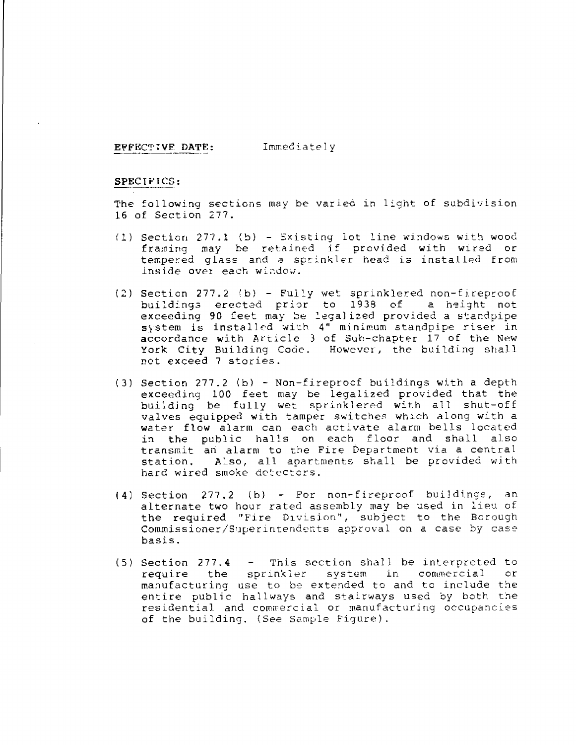EFFECTIVE DATE: Immediately

### SPECIFICS:

The following sections may be varied in light of subdivision 16 of Section 277.

- fl) Section 277.1 (b) Existing lot line windows with wood framing may be retained if provided with wired or tempered glass and a sprinkler head is installed from inside over each window.
- (2) Section 277.2 (b) Fully wet sprinklered non-fireproof buildings erected prior to 1938 of **a** height not exceeding 90 feet may be legalized provided a standpipe system is installed with 4" minimum standpipe riser in accordance with Article 3 of Sub-chapter 17 of the New York City Building Code. However, the building shall not exceed 7 stories.
- (3) Section 277.2 (b) Non-fireproof buildings with a depth exceeding 100 feet may be legalized provided that the building be fully wet sprinklered with all shut-off valves equipped with tamper switches which along with a water flow alarm can each activate alarm bells located<br>in the public halls on each floor and shall also in the public halls on each floor and shall transmit an alarm to the Fire Department via a central station. Also, all apartments shall be provided with hard wired smoke detectors.
- (4) Section 277.2 (b) For non-fireproof buildings, an alternate two hour rated assembly may be used in lieu of the required "Fire Division", subject to the Borough Commissioner/Superintendents approval on a case by case basis.
- (5) Section 277.4 This section shall be interpreted to require the sprinkler system in commercial or require the sprinkler system in commercial manufacturing use to be extended to and to include the entire public hallways and stairways used by both the residential and commercial or manufacturing occupancies of the building. (See Sample Figure).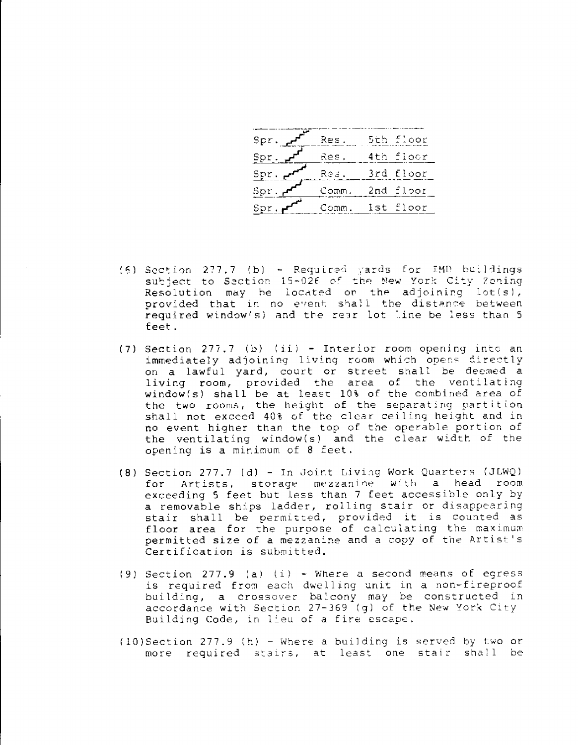| Spr. | Res.  | 5th floor |
|------|-------|-----------|
| Spr  | Res.  | 4th floor |
| Spr. | Res.  | 3rd floor |
| Spr. | Comm. | 2nd floor |
|      | Comm. | lst floor |

- (5) Section 277.7 (b) Required yards for IMD buildings subject to Section 15-026 of the New York City Zoning Resolution may be located on the adjoining  $lot(s)$ , provided that in no event shall the distance between required window(s) and the rear lot line be less than 5 feet.
- (7) Section 277.7 (b) (ii) Interior room opening into an immediately adjoining living room which opens directly on a lawful yard, court or street shall be deemed a living room, provided the area of the ventilating window(s) shall be at least 10% of the combined area of the two rooms, the height of the separating partition shall not exceed 40% of the clear ceiling height and in no event higher than the top of the operable portion of the ventilating window(s) and the clear width of the opening is a minimum of 8 feet.
- (8) Section 277.7 (d) In Joint Living Work Quarters (JLWQ) for Artists, storage mezzanine with a head room exceeding 5 feet but less than 7 feet accessible only by a removable ships ladder, rolling stair or disappearing stair shall be permitted, provided it is counted as floor area for the purpose of calculating the maximum permitted size of a mezzanine and a copy of the Artist's Certification is submitted.
- (9) Section 277.9 (a) (i) Where a second means of egress is required from each dwelling unit in a non-fireproof building, a crossover balcony may be constructed in accordance with Section 27-369 (g) of the New York City Building Code, in lieu of a fire escape.
- (10) Section 277.9 (h) Where a building is served by two or more required stairs, at least one stair shall be